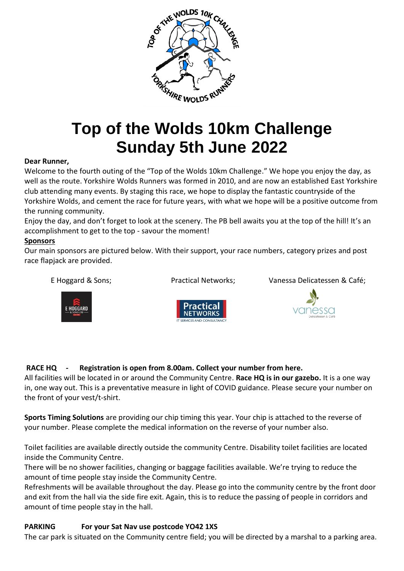

# **Top of the Wolds 10km Challenge Sunday 5th June 2022**

#### **Dear Runner,**

Welcome to the fourth outing of the "Top of the Wolds 10km Challenge." We hope you enjoy the day, as well as the route. Yorkshire Wolds Runners was formed in 2010, and are now an established East Yorkshire club attending many events. By staging this race, we hope to display the fantastic countryside of the Yorkshire Wolds, and cement the race for future years, with what we hope will be a positive outcome from the running community.

Enjoy the day, and don't forget to look at the scenery. The PB bell awaits you at the top of the hill! It's an accomplishment to get to the top - savour the moment!

#### **Sponsors**

Our main sponsors are pictured below. With their support, your race numbers, category prizes and post race flapjack are provided.



E Hoggard & Sons; Practical Networks; Vanessa Delicatessen & Café;





### **RACE HQ - Registration is open from 8.00am. Collect your number from here.**

All facilities will be located in or around the Community Centre. **Race HQ is in our gazebo.** It is a one way in, one way out. This is a preventative measure in light of COVID guidance. Please secure your number on the front of your vest/t-shirt.

**Sports Timing Solutions** are providing our chip timing this year. Your chip is attached to the reverse of your number. Please complete the medical information on the reverse of your number also.

Toilet facilities are available directly outside the community Centre. Disability toilet facilities are located inside the Community Centre.

There will be no shower facilities, changing or baggage facilities available. We're trying to reduce the amount of time people stay inside the Community Centre.

Refreshments will be available throughout the day. Please go into the community centre by the front door and exit from the hall via the side fire exit. Again, this is to reduce the passing of people in corridors and amount of time people stay in the hall.

#### **PARKING For your Sat Nav use postcode YO42 1XS**

The car park is situated on the Community centre field; you will be directed by a marshal to a parking area.